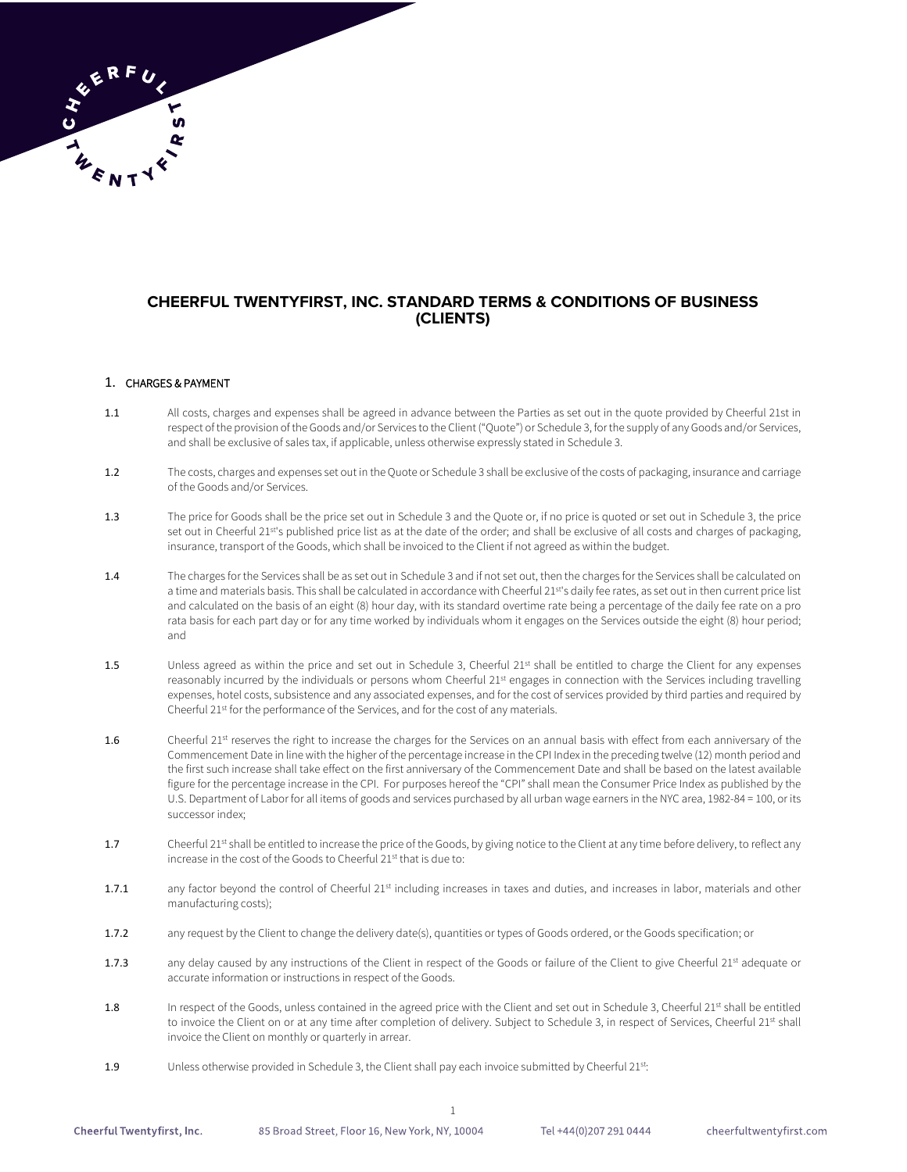# **CHEERFUL TWENTYFIRST, INC. STANDARD TERMS & CONDITIONS OF BUSINESS (CLIENTS)**

### 1. CHARGES & PAYMENT

- 1.1 All costs, charges and expenses shall be agreed in advance between the Parties as set out in the quote provided by Cheerful 21st in respect of the provision of the Goods and/or Services to the Client ("Quote") or Schedule 3, for the supply of any Goods and/or Services, and shall be exclusive of sales tax, if applicable, unless otherwise expressly stated in Schedule 3.
- 1.2 The costs, charges and expenses set out in the Quote or Schedule 3 shall be exclusive of the costs of packaging, insurance and carriage of the Goods and/or Services.
- 1.3 The price for Goods shall be the price set out in Schedule 3 and the Quote or, if no price is quoted or set out in Schedule 3, the price set out in Cheerful 21st's published price list as at the date of the order; and shall be exclusive of all costs and charges of packaging, insurance, transport of the Goods, which shall be invoiced to the Client if not agreed as within the budget.
- 1.4 The charges for the Services shall be as set out in Schedule 3 and if not set out, then the charges for the Services shall be calculated on a time and materials basis. This shall be calculated in accordance with Cheerful 21st's daily fee rates, as set out in then current price list and calculated on the basis of an eight (8) hour day, with its standard overtime rate being a percentage of the daily fee rate on a pro rata basis for each part day or for any time worked by individuals whom it engages on the Services outside the eight (8) hour period; and
- 1.5 Unless agreed as within the price and set out in Schedule 3, Cheerful 21st shall be entitled to charge the Client for any expenses reasonably incurred by the individuals or persons whom Cheerful 21<sup>st</sup> engages in connection with the Services including travelling expenses, hotel costs, subsistence and any associated expenses, and for the cost of services provided by third parties and required by Cheerful 21st for the performance of the Services, and for the cost of any materials.
- 1.6 Cheerful 21<sup>st</sup> reserves the right to increase the charges for the Services on an annual basis with effect from each anniversary of the Commencement Date in line with the higher of the percentage increase in the CPI Index in the preceding twelve (12) month period and the first such increase shall take effect on the first anniversary of the Commencement Date and shall be based on the latest available figure for the percentage increase in the CPI. For purposes hereof the "CPI" shall mean the Consumer Price Index as published by the U.S. Department of Labor for all items of goods and services purchased by all urban wage earners in the NYC area, 1982-84 = 100, or its successor index;
- 1.7 Cheerful 21<sup>st</sup> shall be entitled to increase the price of the Goods, by giving notice to the Client at any time before delivery, to reflect any increase in the cost of the Goods to Cheerful 21<sup>st</sup> that is due to:
- 1.7.1 any factor beyond the control of Cheerful 21st including increases in taxes and duties, and increases in labor, materials and other manufacturing costs);
- 1.7.2 any request by the Client to change the delivery date(s), quantities or types of Goods ordered, or the Goods specification; or
- 1.7.3 any delay caused by any instructions of the Client in respect of the Goods or failure of the Client to give Cheerful 21st adequate or accurate information or instructions in respect of the Goods.
- 1.8 In respect of the Goods, unless contained in the agreed price with the Client and set out in Schedule 3, Cheerful 21st shall be entitled to invoice the Client on or at any time after completion of delivery. Subject to Schedule 3, in respect of Services, Cheerful 21st shall invoice the Client on monthly or quarterly in arrear.
- 1.9 Unless otherwise provided in Schedule 3, the Client shall pay each invoice submitted by Cheerful 21<sup>st</sup>:

Tel +44(0)207 291 0444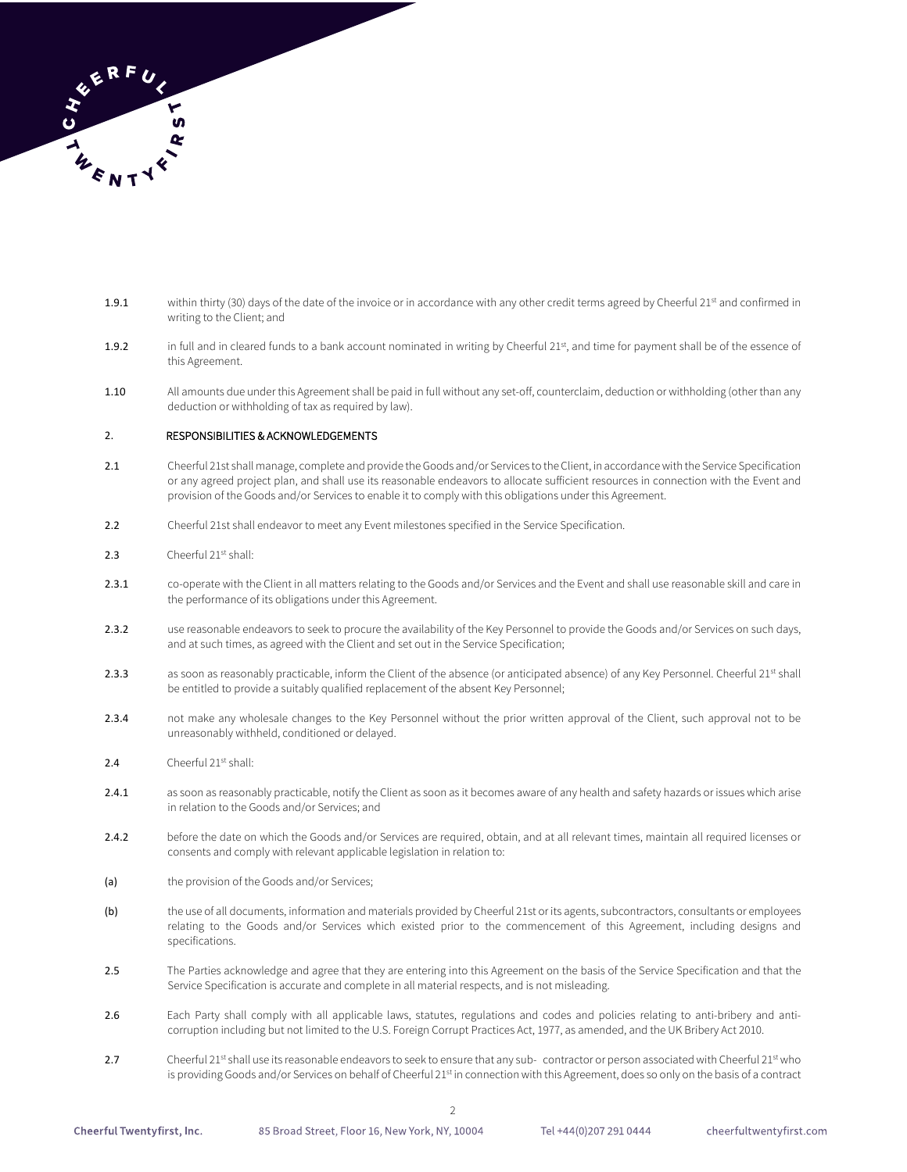

- 1.9.1 within thirty (30) days of the date of the invoice or in accordance with any other credit terms agreed by Cheerful 21st and confirmed in writing to the Client; and
- 1.9.2 in full and in cleared funds to a bank account nominated in writing by Cheerful 21st, and time for payment shall be of the essence of this Agreement.
- 1.10 All amounts due under this Agreement shall be paid in full without any set-off, counterclaim, deduction or withholding (other than any deduction or withholding of tax as required by law).

### 2. RESPONSIBILITIES & ACKNOWLEDGEMENTS

- 2.1 Cheerful 21st shall manage, complete and provide the Goods and/or Services to the Client, in accordance with the Service Specification or any agreed project plan, and shall use its reasonable endeavors to allocate sufficient resources in connection with the Event and provision of the Goods and/or Services to enable it to comply with this obligations under this Agreement.
- 2.2 Cheerful 21st shall endeavor to meet any Event milestones specified in the Service Specification.
- 2.3 Cheerful 21st shall:
- 2.3.1 co-operate with the Client in all matters relating to the Goods and/or Services and the Event and shall use reasonable skill and care in the performance of its obligations under this Agreement.
- 2.3.2 use reasonable endeavors to seek to procure the availability of the Key Personnel to provide the Goods and/or Services on such days, and at such times, as agreed with the Client and set out in the Service Specification;
- 2.3.3 as soon as reasonably practicable, inform the Client of the absence (or anticipated absence) of any Key Personnel. Cheerful 21<sup>st</sup> shall be entitled to provide a suitably qualified replacement of the absent Key Personnel;
- 2.3.4 not make any wholesale changes to the Key Personnel without the prior written approval of the Client, such approval not to be unreasonably withheld, conditioned or delayed.
- 2.4 Cheerful 21st shall:
- 2.4.1 as soon as reasonably practicable, notify the Client as soon as it becomes aware of any health and safety hazards or issues which arise in relation to the Goods and/or Services; and
- 2.4.2 before the date on which the Goods and/or Services are required, obtain, and at all relevant times, maintain all required licenses or consents and comply with relevant applicable legislation in relation to:
- (a) the provision of the Goods and/or Services;
- (b) the use of all documents, information and materials provided by Cheerful 21st or its agents, subcontractors, consultants or employees relating to the Goods and/or Services which existed prior to the commencement of this Agreement, including designs and specifications.
- 2.5 The Parties acknowledge and agree that they are entering into this Agreement on the basis of the Service Specification and that the Service Specification is accurate and complete in all material respects, and is not misleading.
- 2.6 Each Party shall comply with all applicable laws, statutes, regulations and codes and policies relating to anti-bribery and anticorruption including but not limited to the U.S. Foreign Corrupt Practices Act, 1977, as amended, and the UK Bribery Act 2010.
- 2.7 Cheerful 21st shall use its reasonable endeavors to seek to ensure that any sub- contractor or person associated with Cheerful 21st who is providing Goods and/or Services on behalf of Cheerful 21st in connection with this Agreement, does so only on the basis of a contract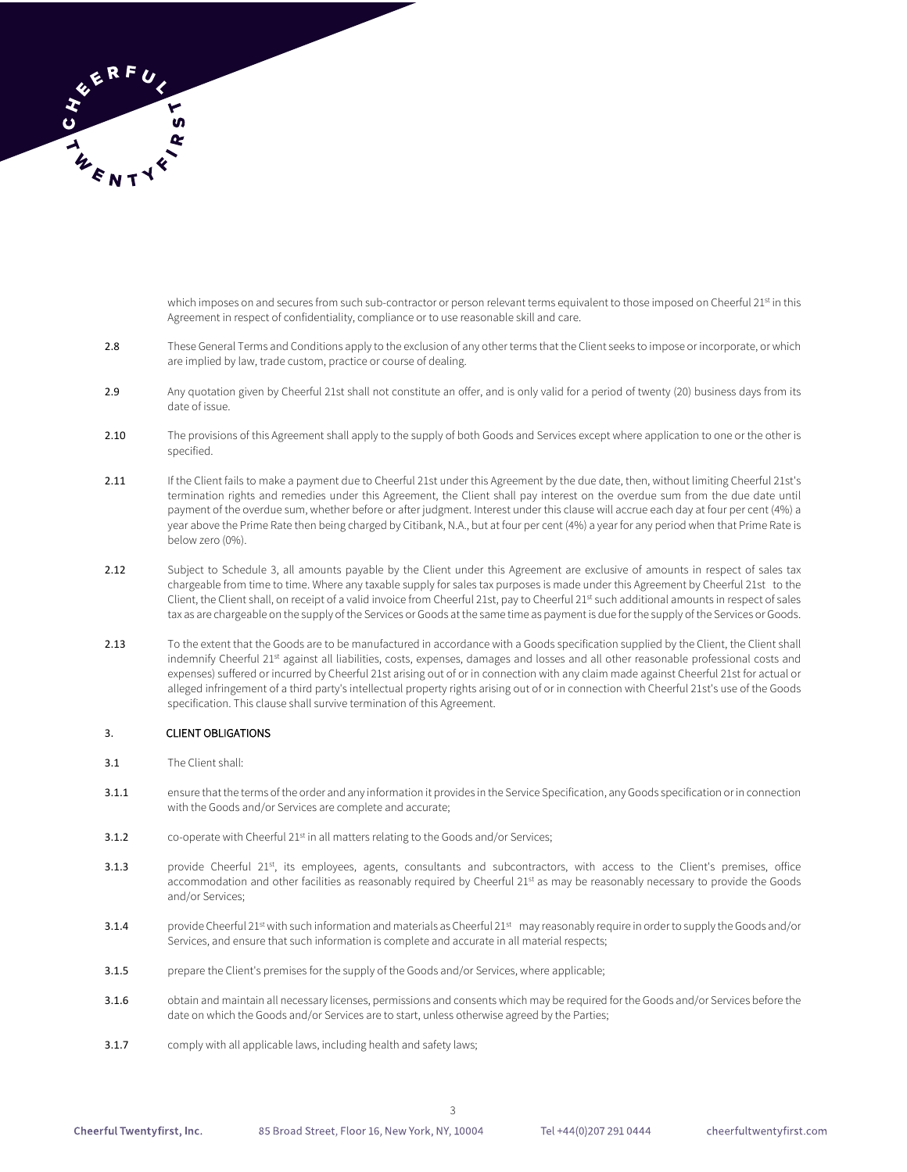

which imposes on and secures from such sub-contractor or person relevant terms equivalent to those imposed on Cheerful 21st in this Agreement in respect of confidentiality, compliance or to use reasonable skill and care.

- 2.8 These General Terms and Conditions apply to the exclusion of any other terms that the Client seeks to impose or incorporate, or which are implied by law, trade custom, practice or course of dealing.
- 2.9 Any quotation given by Cheerful 21st shall not constitute an offer, and is only valid for a period of twenty (20) business days from its date of issue.
- 2.10 The provisions of this Agreement shall apply to the supply of both Goods and Services except where application to one or the other is specified.
- 2.11 If the Client fails to make a payment due to Cheerful 21st under this Agreement by the due date, then, without limiting Cheerful 21st's termination rights and remedies under this Agreement, the Client shall pay interest on the overdue sum from the due date until payment of the overdue sum, whether before or after judgment. Interest under this clause will accrue each day at four per cent (4%) a year above the Prime Rate then being charged by Citibank, N.A., but at four per cent (4%) a year for any period when that Prime Rate is below zero (0%).
- 2.12 Subject to Schedule 3, all amounts payable by the Client under this Agreement are exclusive of amounts in respect of sales tax chargeable from time to time. Where any taxable supply for sales tax purposes is made under this Agreement by Cheerful 21st to the Client, the Client shall, on receipt of a valid invoice from Cheerful 21st, pay to Cheerful 21st such additional amounts in respect of sales tax as are chargeable on the supply of the Services or Goods at the same time as payment is due for the supply of the Services or Goods.
- 2.13 To the extent that the Goods are to be manufactured in accordance with a Goods specification supplied by the Client, the Client shall indemnify Cheerful 21st against all liabilities, costs, expenses, damages and losses and all other reasonable professional costs and expenses) suffered or incurred by Cheerful 21st arising out of or in connection with any claim made against Cheerful 21st for actual or alleged infringement of a third party's intellectual property rights arising out of or in connection with Cheerful 21st's use of the Goods specification. This clause shall survive termination of this Agreement.

### 3. CLIENT OBLIGATIONS

- 3.1 The Client shall:
- 3.1.1 ensure that the terms of the order and any information it provides in the Service Specification, any Goods specification or in connection with the Goods and/or Services are complete and accurate;
- 3.1.2 co-operate with Cheerful 21<sup>st</sup> in all matters relating to the Goods and/or Services;
- 3.1.3 provide Cheerful 21st, its employees, agents, consultants and subcontractors, with access to the Client's premises, office accommodation and other facilities as reasonably required by Cheerful 21st as may be reasonably necessary to provide the Goods and/or Services;
- 3.1.4 provide Cheerful 21<sup>st</sup> with such information and materials as Cheerful 21st may reasonably require in order to supply the Goods and/or Services, and ensure that such information is complete and accurate in all material respects;
- 3.1.5 prepare the Client's premises for the supply of the Goods and/or Services, where applicable;
- 3.1.6 obtain and maintain all necessary licenses, permissions and consents which may be required for the Goods and/or Services before the date on which the Goods and/or Services are to start, unless otherwise agreed by the Parties;

3

3.1.7 comply with all applicable laws, including health and safety laws;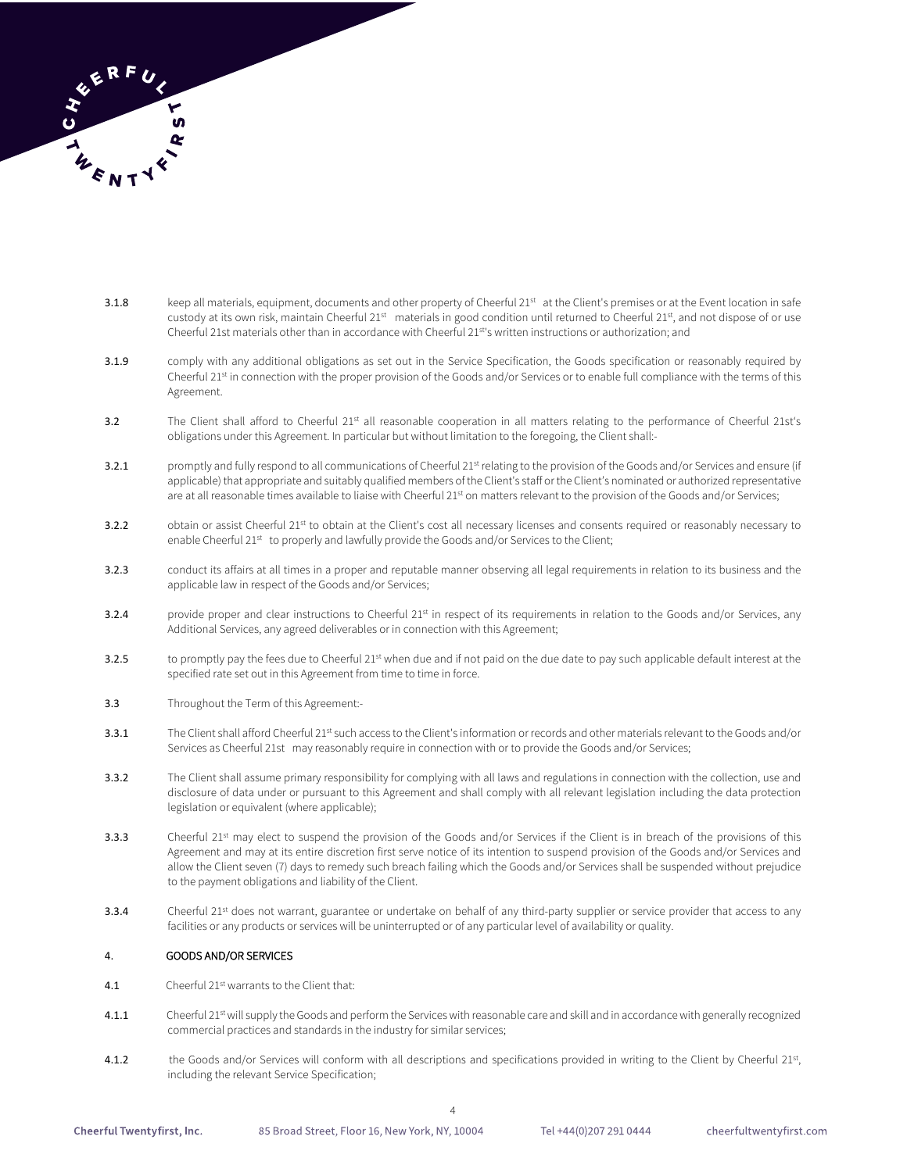

- 3.1.8 keep all materials, equipment, documents and other property of Cheerful 21st at the Client's premises or at the Event location in safe custody at its own risk, maintain Cheerful 21<sup>st</sup> materials in good condition until returned to Cheerful 21<sup>st</sup>, and not dispose of or use Cheerful 21st materials other than in accordance with Cheerful 21st's written instructions or authorization; and
- 3.1.9 comply with any additional obligations as set out in the Service Specification, the Goods specification or reasonably required by Cheerful 21<sup>st</sup> in connection with the proper provision of the Goods and/or Services or to enable full compliance with the terms of this Agreement.
- 3.2 The Client shall afford to Cheerful 21st all reasonable cooperation in all matters relating to the performance of Cheerful 21st's obligations under this Agreement. In particular but without limitation to the foregoing, the Client shall:-
- 3.2.1 promptly and fully respond to all communications of Cheerful 21st relating to the provision of the Goods and/or Services and ensure (if applicable) that appropriate and suitably qualified members of the Client's staff or the Client's nominated or authorized representative are at all reasonable times available to liaise with Cheerful 21st on matters relevant to the provision of the Goods and/or Services;
- 3.2.2 obtain or assist Cheerful 21st to obtain at the Client's cost all necessary licenses and consents required or reasonably necessary to enable Cheerful 21st to properly and lawfully provide the Goods and/or Services to the Client;
- 3.2.3 conduct its affairs at all times in a proper and reputable manner observing all legal requirements in relation to its business and the applicable law in respect of the Goods and/or Services;
- 3.2.4 provide proper and clear instructions to Cheerful 21<sup>st</sup> in respect of its requirements in relation to the Goods and/or Services, any Additional Services, any agreed deliverables or in connection with this Agreement;
- 3.2.5 to promptly pay the fees due to Cheerful 21<sup>st</sup> when due and if not paid on the due date to pay such applicable default interest at the specified rate set out in this Agreement from time to time in force.
- 3.3 Throughout the Term of this Agreement:-
- 3.3.1 The Client shall afford Cheerful 21st such access to the Client's information or records and other materials relevant to the Goods and/or Services as Cheerful 21st may reasonably require in connection with or to provide the Goods and/or Services;
- 3.3.2 The Client shall assume primary responsibility for complying with all laws and regulations in connection with the collection, use and disclosure of data under or pursuant to this Agreement and shall comply with all relevant legislation including the data protection legislation or equivalent (where applicable);
- 3.3.3 Cheerful 21st may elect to suspend the provision of the Goods and/or Services if the Client is in breach of the provisions of this Agreement and may at its entire discretion first serve notice of its intention to suspend provision of the Goods and/or Services and allow the Client seven (7) days to remedy such breach failing which the Goods and/or Services shall be suspended without prejudice to the payment obligations and liability of the Client.
- 3.3.4 Cheerful 21<sup>st</sup> does not warrant, guarantee or undertake on behalf of any third-party supplier or service provider that access to any facilities or any products or services will be uninterrupted or of any particular level of availability or quality.

#### 4. GOODS AND/OR SERVICES

- 4.1 Cheerful 21st warrants to the Client that:
- 4.1.1 Cheerful 21st will supply the Goods and perform the Services with reasonable care and skill and in accordance with generally recognized commercial practices and standards in the industry for similar services;
- 4.1.2 the Goods and/or Services will conform with all descriptions and specifications provided in writing to the Client by Cheerful 21st, including the relevant Service Specification;

Tel +44(0)207 291 0444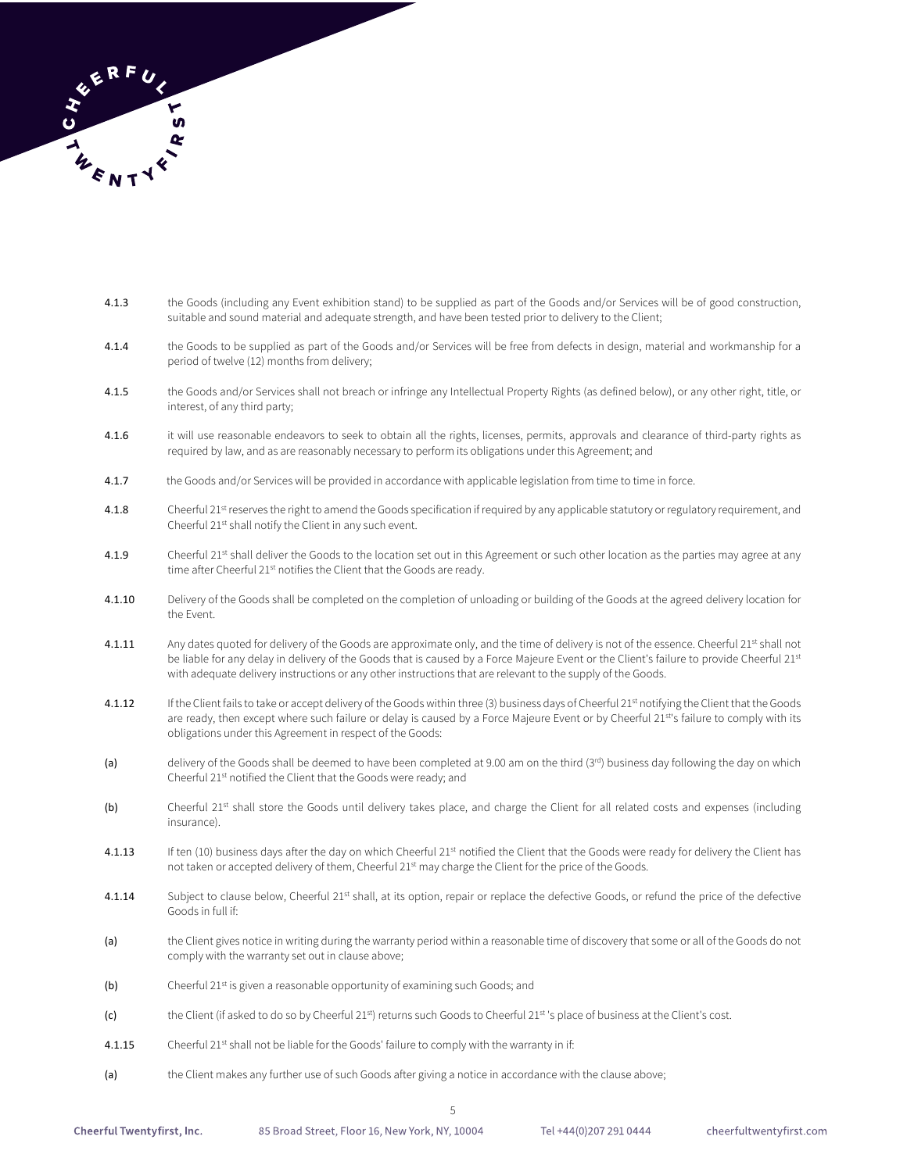

- 4.1.3 the Goods (including any Event exhibition stand) to be supplied as part of the Goods and/or Services will be of good construction, suitable and sound material and adequate strength, and have been tested prior to delivery to the Client;
- 4.1.4 the Goods to be supplied as part of the Goods and/or Services will be free from defects in design, material and workmanship for a period of twelve (12) months from delivery;
- 4.1.5 the Goods and/or Services shall not breach or infringe any Intellectual Property Rights (as defined below), or any other right, title, or interest, of any third party;
- 4.1.6 it will use reasonable endeavors to seek to obtain all the rights, licenses, permits, approvals and clearance of third-party rights as required by law, and as are reasonably necessary to perform its obligations under this Agreement; and
- 4.1.7 the Goods and/or Services will be provided in accordance with applicable legislation from time to time in force.
- 4.1.8 Cheerful 21<sup>st</sup> reserves the right to amend the Goods specification if required by any applicable statutory or regulatory requirement, and Cheerful 21st shall notify the Client in any such event.
- 4.1.9 Cheerful 21<sup>st</sup> shall deliver the Goods to the location set out in this Agreement or such other location as the parties may agree at any time after Cheerful 21<sup>st</sup> notifies the Client that the Goods are ready.
- 4.1.10 Delivery of the Goods shall be completed on the completion of unloading or building of the Goods at the agreed delivery location for the Event.
- 4.1.11 Any dates quoted for delivery of the Goods are approximate only, and the time of delivery is not of the essence. Cheerful 21st shall not be liable for any delay in delivery of the Goods that is caused by a Force Majeure Event or the Client's failure to provide Cheerful 21st with adequate delivery instructions or any other instructions that are relevant to the supply of the Goods.
- 4.1.12 If the Client fails to take or accept delivery of the Goods within three (3) business days of Cheerful 21st notifying the Client that the Goods are ready, then except where such failure or delay is caused by a Force Majeure Event or by Cheerful 21st's failure to comply with its obligations under this Agreement in respect of the Goods:
- (a) delivery of the Goods shall be deemed to have been completed at 9.00 am on the third (3rd) business day following the day on which Cheerful 21st notified the Client that the Goods were ready; and
- (b) Cheerful 21st shall store the Goods until delivery takes place, and charge the Client for all related costs and expenses (including insurance).
- 4.1.13 If ten (10) business days after the day on which Cheerful 21<sup>st</sup> notified the Client that the Goods were ready for delivery the Client has not taken or accepted delivery of them, Cheerful 21<sup>st</sup> may charge the Client for the price of the Goods.
- 4.1.14 Subject to clause below, Cheerful 21<sup>st</sup> shall, at its option, repair or replace the defective Goods, or refund the price of the defective Goods in full if:
- (a) the Client gives notice in writing during the warranty period within a reasonable time of discovery that some or all of the Goods do not comply with the warranty set out in clause above;
- (b) Cheerful 21<sup>st</sup> is given a reasonable opportunity of examining such Goods; and
- (c) the Client (if asked to do so by Cheerful 21<sup>st</sup>) returns such Goods to Cheerful 21<sup>st</sup> 's place of business at the Client's cost.
- 4.1.15 Cheerful 21st shall not be liable for the Goods' failure to comply with the warranty in if:
- (a) the Client makes any further use of such Goods after giving a notice in accordance with the clause above;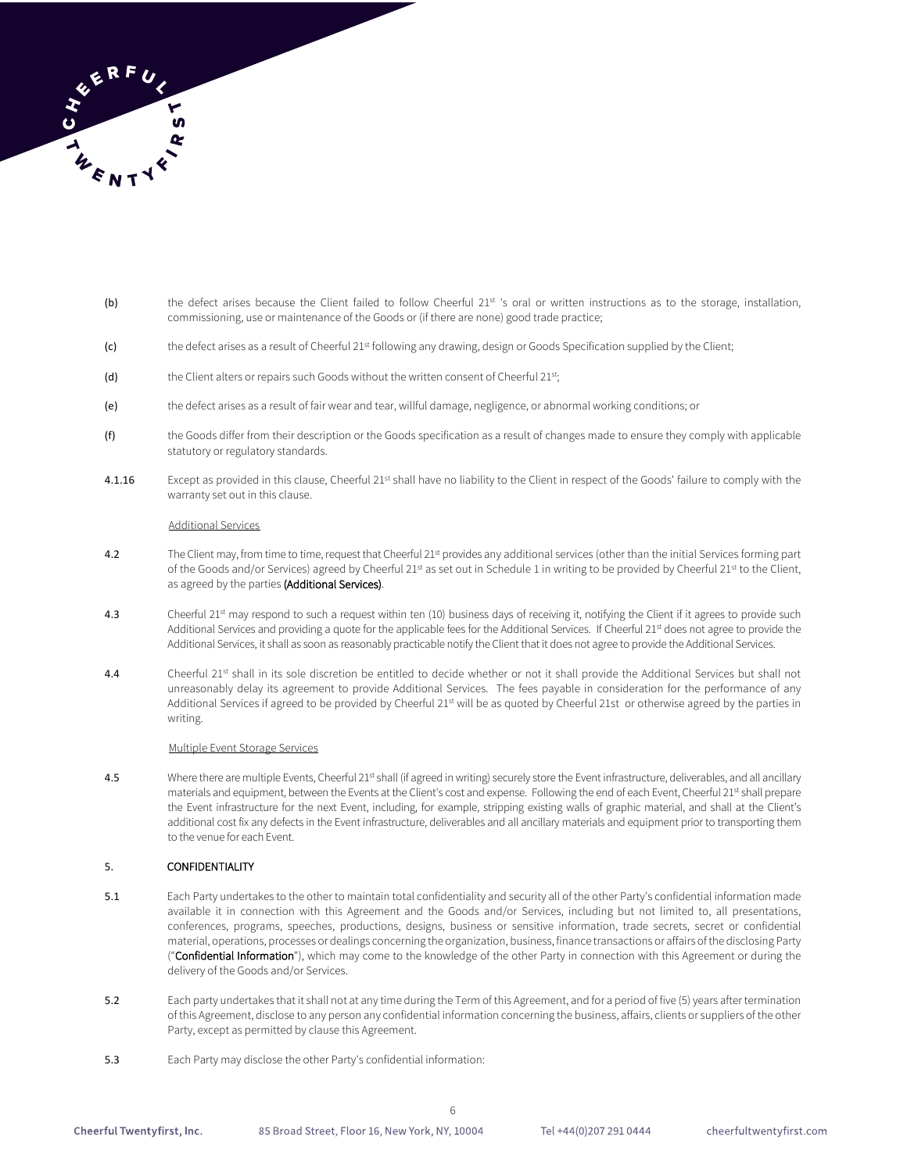

- (b) the defect arises because the Client failed to follow Cheerful 21st 's oral or written instructions as to the storage, installation, commissioning, use or maintenance of the Goods or (if there are none) good trade practice;
- (c) the defect arises as a result of Cheerful 21<sup>st</sup> following any drawing, design or Goods Specification supplied by the Client;
- (d) the Client alters or repairs such Goods without the written consent of Cheerful  $21^{st}$ ;
- (e) the defect arises as a result of fair wear and tear, willful damage, negligence, or abnormal working conditions; or
- (f) the Goods differ from their description or the Goods specification as a result of changes made to ensure they comply with applicable statutory or regulatory standards.
- 4.1.16 Except as provided in this clause, Cheerful 21st shall have no liability to the Client in respect of the Goods' failure to comply with the warranty set out in this clause.

#### Additional Services

- 4.2 The Client may, from time to time, request that Cheerful 21<sup>st</sup> provides any additional services (other than the initial Services forming part of the Goods and/or Services) agreed by Cheerful 21st as set out in Schedule 1 in writing to be provided by Cheerful 21st to the Client, as agreed by the parties (Additional Services).
- 4.3 Cheerful 21<sup>st</sup> may respond to such a request within ten (10) business days of receiving it, notifying the Client if it agrees to provide such Additional Services and providing a quote for the applicable fees for the Additional Services. If Cheerful 21<sup>st</sup> does not agree to provide the Additional Services, it shall as soon as reasonably practicable notify the Client that it does not agree to provide the Additional Services.
- 4.4 Cheerful 21<sup>st</sup> shall in its sole discretion be entitled to decide whether or not it shall provide the Additional Services but shall not unreasonably delay its agreement to provide Additional Services. The fees payable in consideration for the performance of any Additional Services if agreed to be provided by Cheerful 21<sup>st</sup> will be as quoted by Cheerful 21st or otherwise agreed by the parties in writing.

#### Multiple Event Storage Services

4.5 Where there are multiple Events, Cheerful 21st shall (if agreed in writing) securely store the Event infrastructure, deliverables, and all ancillary materials and equipment, between the Events at the Client's cost and expense. Following the end of each Event, Cheerful 21st shall prepare the Event infrastructure for the next Event, including, for example, stripping existing walls of graphic material, and shall at the Client's additional cost fix any defects in the Event infrastructure, deliverables and all ancillary materials and equipment prior to transporting them to the venue for each Event.

#### 5. CONFIDENTIALITY

- 5.1 Each Party undertakes to the other to maintain total confidentiality and security all of the other Party's confidential information made available it in connection with this Agreement and the Goods and/or Services, including but not limited to, all presentations, conferences, programs, speeches, productions, designs, business or sensitive information, trade secrets, secret or confidential material, operations, processes or dealings concerning the organization, business, finance transactions or affairs of the disclosing Party ("Confidential Information"), which may come to the knowledge of the other Party in connection with this Agreement or during the delivery of the Goods and/or Services.
- 5.2 Each party undertakes that it shall not at any time during the Term of this Agreement, and for a period of five (5) years after termination of this Agreement, disclose to any person any confidential information concerning the business, affairs, clients or suppliers of the other Party, except as permitted by clause this Agreement.

6

5.3 Each Party may disclose the other Party's confidential information: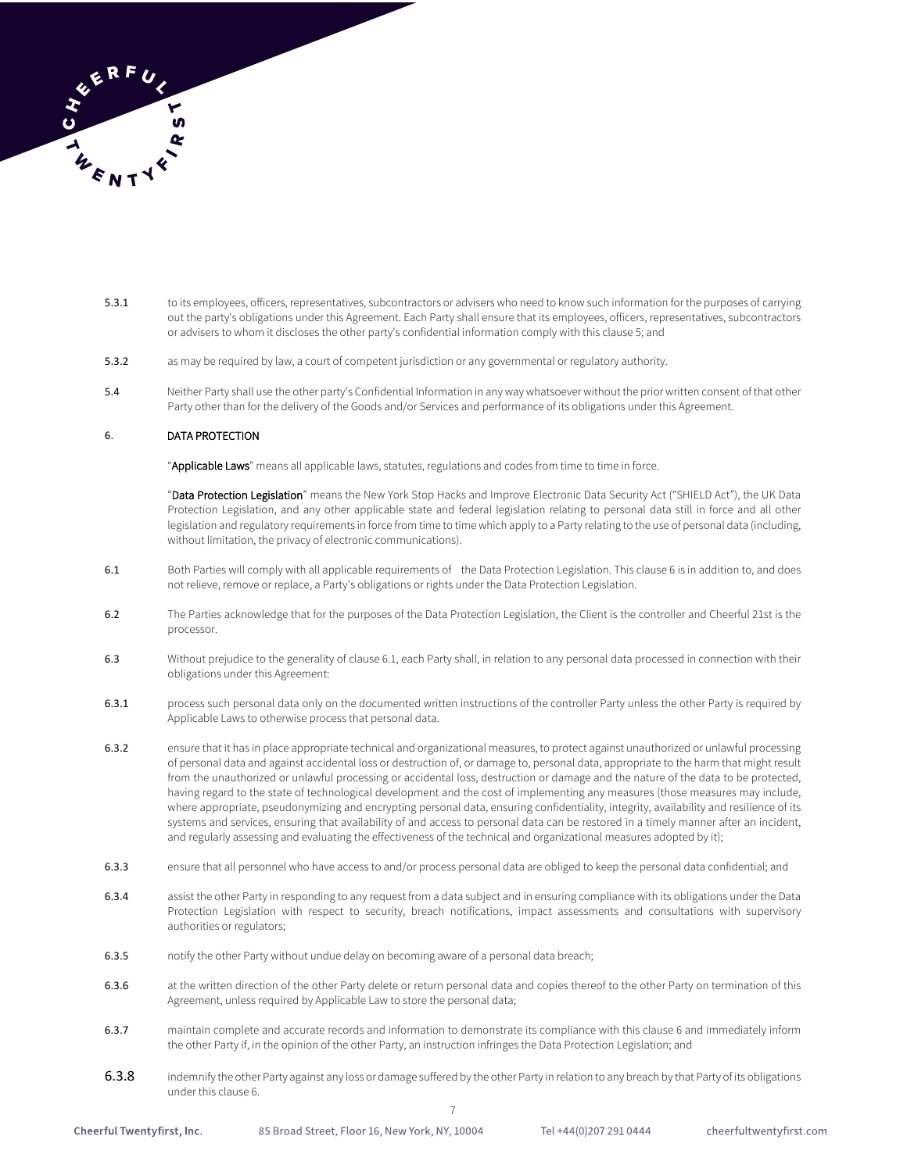

- 5.3.1 to its employees, officers, representatives, subcontractors or advisers who need to know such information for the purposes of carrying out the party's obligations under this Agreement. Each Party shall ensure that its employees, officers, representatives, subcontractors or advisers to whom it discloses the other party's confidential information comply with this clause 5; and
- 5.3.2 as may be required by law, a court of competent jurisdiction or any governmental or regulatory authority.
- 5.4 Neither Party shall use the other party's Confidential Information in any way whatsoever without the prior written consent of that other Party other than for the delivery of the Goods and/or Services and performance of its obligations under this Agreement.

### 6. DATA PROTECTION

"Applicable Laws" means all applicable laws, statutes, regulations and codes from time to time in force.

"Data Protection Legislation" means the New York Stop Hacks and Improve Electronic Data Security Act ("SHIELD Act"), the UK Data Protection Legislation, and any other applicable state and federal legislation relating to personal data still in force and all other legislation and regulatory requirements in force from time to time which apply to a Party relating to the use of personal data (including, without limitation, the privacy of electronic communications).

- 6.1 Both Parties will comply with all applicable requirements of the Data Protection Legislation. This clause 6 is in addition to, and does not relieve, remove or replace, a Party's obligations or rights under the Data Protection Legislation.
- 6.2 The Parties acknowledge that for the purposes of the Data Protection Legislation, the Client is the controller and Cheerful 21st is the processor.
- 6.3 Without prejudice to the generality of clause 6.1, each Party shall, in relation to any personal data processed in connection with their obligations under this Agreement:
- 6.3.1 process such personal data only on the documented written instructions of the controller Party unless the other Party is required by Applicable Laws to otherwise process that personal data.
- 6.3.2 ensure that it has in place appropriate technical and organizational measures, to protect against unauthorized or unlawful processing of personal data and against accidental loss or destruction of, or damage to, personal data, appropriate to the harm that might result from the unauthorized or unlawful processing or accidental loss, destruction or damage and the nature of the data to be protected, having regard to the state of technological development and the cost of implementing any measures (those measures may include, where appropriate, pseudonymizing and encrypting personal data, ensuring confidentiality, integrity, availability and resilience of its systems and services, ensuring that availability of and access to personal data can be restored in a timely manner after an incident, and regularly assessing and evaluating the effectiveness of the technical and organizational measures adopted by it);
- 6.3.3 ensure that all personnel who have access to and/or process personal data are obliged to keep the personal data confidential; and
- 6.3.4 assist the other Party in responding to any request from a data subject and in ensuring compliance with its obligations under the Data Protection Legislation with respect to security, breach notifications, impact assessments and consultations with supervisory authorities or regulators;
- 6.3.5 notify the other Party without undue delay on becoming aware of a personal data breach;
- 6.3.6 at the written direction of the other Party delete or return personal data and copies thereof to the other Party on termination of this Agreement, unless required by Applicable Law to store the personal data;
- 6.3.7 maintain complete and accurate records and information to demonstrate its compliance with this clause 6 and immediately inform the other Party if, in the opinion of the other Party, an instruction infringes the Data Protection Legislation; and
- 6.3.8 indemnify the other Party against any loss or damage suffered by the other Party in relation to any breach by that Party of its obligations under this clause 6.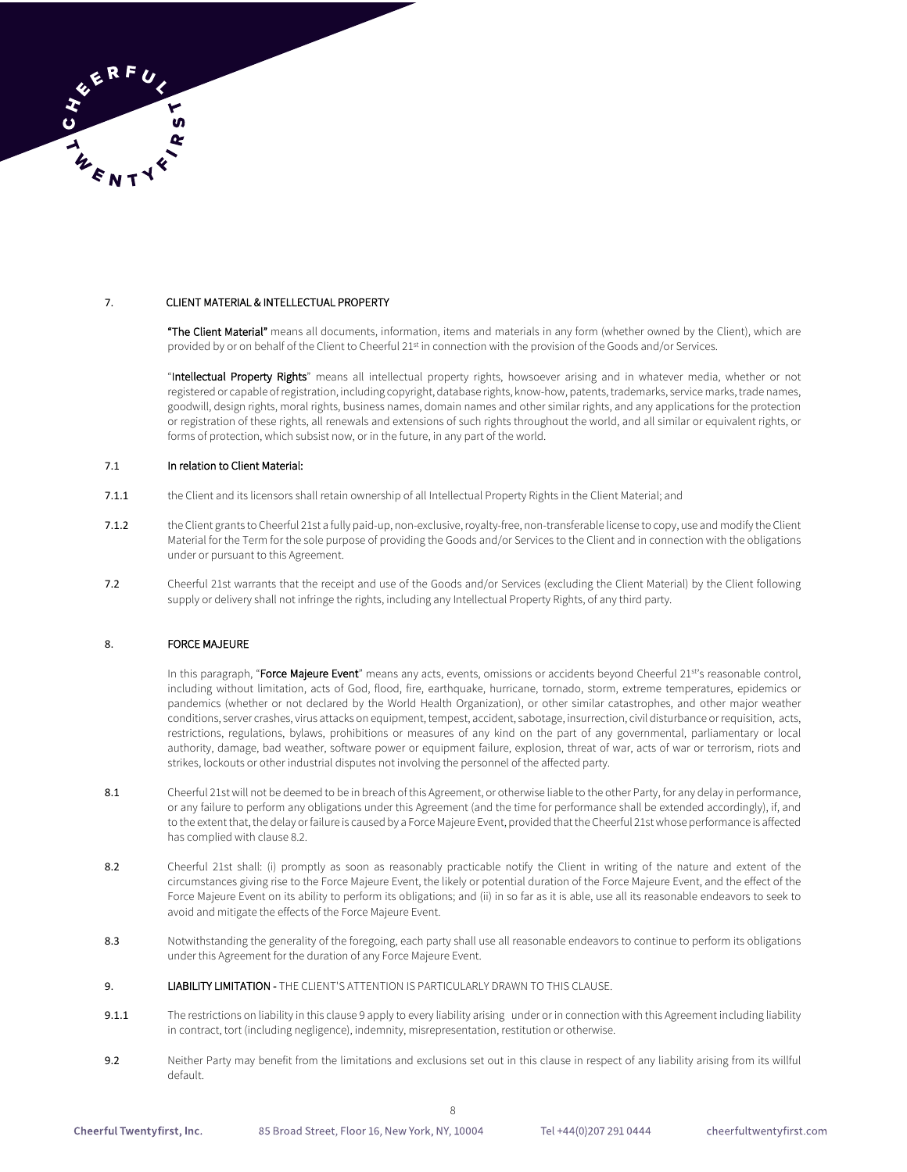

## 7. CLIENT MATERIAL & INTELLECTUAL PROPERTY

"The Client Material" means all documents, information, items and materials in any form (whether owned by the Client), which are provided by or on behalf of the Client to Cheerful 21<sup>st</sup> in connection with the provision of the Goods and/or Services.

"Intellectual Property Rights" means all intellectual property rights, howsoever arising and in whatever media, whether or not registered or capable of registration, including copyright, database rights, know-how, patents, trademarks, service marks, trade names, goodwill, design rights, moral rights, business names, domain names and other similar rights, and any applications for the protection or registration of these rights, all renewals and extensions of such rights throughout the world, and all similar or equivalent rights, or forms of protection, which subsist now, or in the future, in any part of the world.

#### 7.1 In relation to Client Material:

- 7.1.1 the Client and its licensors shall retain ownership of all Intellectual Property Rights in the Client Material; and
- 7.1.2 the Client grants to Cheerful 21st a fully paid-up, non-exclusive, royalty-free, non-transferable license to copy, use and modify the Client Material for the Term for the sole purpose of providing the Goods and/or Services to the Client and in connection with the obligations under or pursuant to this Agreement.
- 7.2 Cheerful 21st warrants that the receipt and use of the Goods and/or Services (excluding the Client Material) by the Client following supply or delivery shall not infringe the rights, including any Intellectual Property Rights, of any third party.

### 8. FORCE MAJEURE

In this paragraph, "Force Majeure Event" means any acts, events, omissions or accidents beyond Cheerful 21st's reasonable control, including without limitation, acts of God, flood, fire, earthquake, hurricane, tornado, storm, extreme temperatures, epidemics or pandemics (whether or not declared by the World Health Organization), or other similar catastrophes, and other major weather conditions, server crashes, virus attacks on equipment, tempest, accident, sabotage, insurrection, civil disturbance or requisition, acts, restrictions, regulations, bylaws, prohibitions or measures of any kind on the part of any governmental, parliamentary or local authority, damage, bad weather, software power or equipment failure, explosion, threat of war, acts of war or terrorism, riots and strikes, lockouts or other industrial disputes not involving the personnel of the affected party.

- 8.1 Cheerful 21st will not be deemed to be in breach of this Agreement, or otherwise liable to the other Party, for any delay in performance, or any failure to perform any obligations under this Agreement (and the time for performance shall be extended accordingly), if, and to the extent that, the delay or failure is caused by a Force Majeure Event, provided that the Cheerful 21st whose performance is affected has complied with clause 8.2.
- 8.2 Cheerful 21st shall: (i) promptly as soon as reasonably practicable notify the Client in writing of the nature and extent of the circumstances giving rise to the Force Majeure Event, the likely or potential duration of the Force Majeure Event, and the effect of the Force Majeure Event on its ability to perform its obligations; and (ii) in so far as it is able, use all its reasonable endeavors to seek to avoid and mitigate the effects of the Force Majeure Event.
- 8.3 Notwithstanding the generality of the foregoing, each party shall use all reasonable endeavors to continue to perform its obligations under this Agreement for the duration of any Force Majeure Event.
- 9. LIABILITY LIMITATION THE CLIENT'S ATTENTION IS PARTICULARLY DRAWN TO THIS CLAUSE.
- 9.1.1 The restrictions on liability in this clause 9 apply to every liability arising under or in connection with this Agreement including liability in contract, tort (including negligence), indemnity, misrepresentation, restitution or otherwise.
- 9.2 Neither Party may benefit from the limitations and exclusions set out in this clause in respect of any liability arising from its willful default.

Tel +44(0)207 291 0444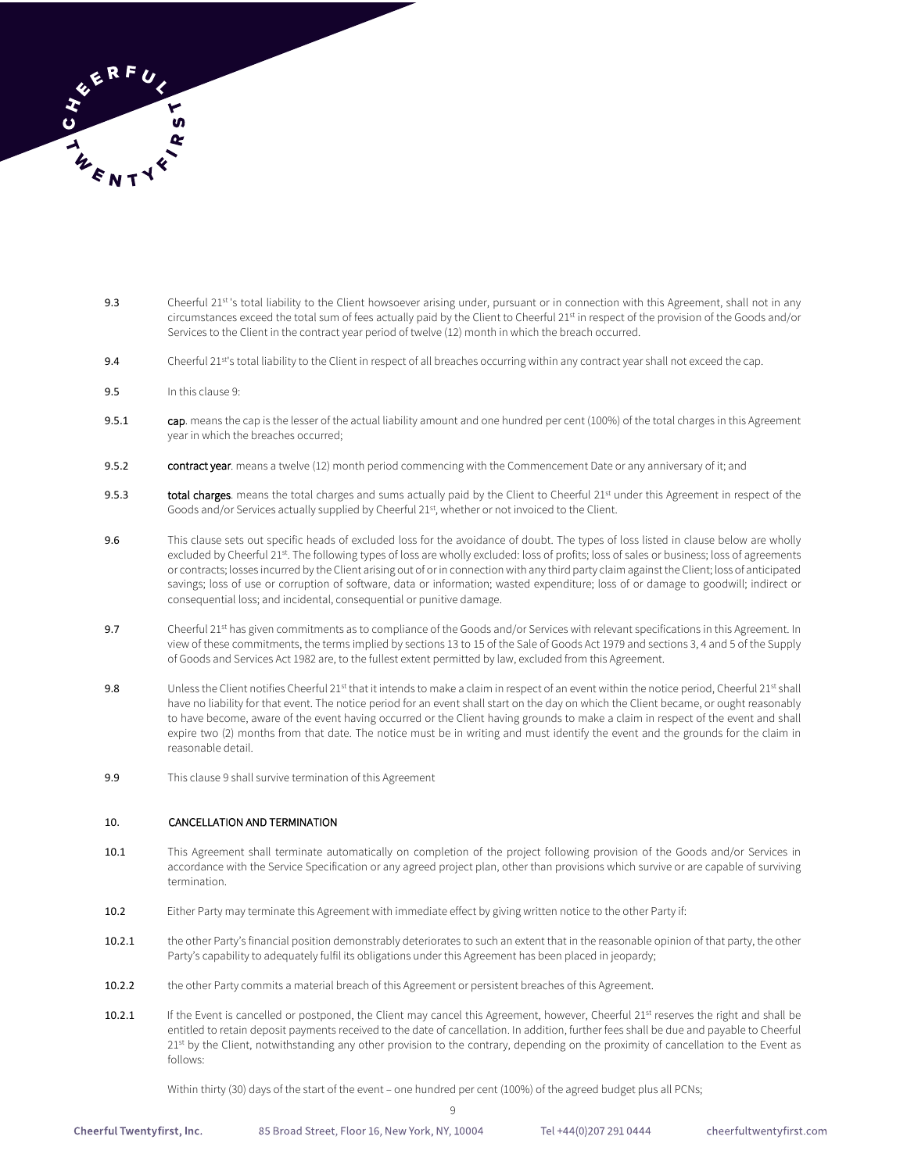

- 9.3 Cheerful 21st 's total liability to the Client howsoever arising under, pursuant or in connection with this Agreement, shall not in any circumstances exceed the total sum of fees actually paid by the Client to Cheerful 21st in respect of the provision of the Goods and/or Services to the Client in the contract year period of twelve (12) month in which the breach occurred.
- 9.4 Cheerful 21<sup>st</sup>'s total liability to the Client in respect of all breaches occurring within any contract year shall not exceed the cap.
- 9.5 In this clause 9:
- 9.5.1 cap. means the cap is the lesser of the actual liability amount and one hundred per cent (100%) of the total charges in this Agreement year in which the breaches occurred;
- 9.5.2 contract year. means a twelve (12) month period commencing with the Commencement Date or any anniversary of it; and
- 9.5.3 total charges. means the total charges and sums actually paid by the Client to Cheerful 21st under this Agreement in respect of the Goods and/or Services actually supplied by Cheerful 21st, whether or not invoiced to the Client.
- 9.6 This clause sets out specific heads of excluded loss for the avoidance of doubt. The types of loss listed in clause below are wholly excluded by Cheerful 21st. The following types of loss are wholly excluded: loss of profits; loss of sales or business; loss of agreements or contracts; losses incurred by the Client arising out of or in connection with any third party claim against the Client; loss of anticipated savings; loss of use or corruption of software, data or information; wasted expenditure; loss of or damage to goodwill; indirect or consequential loss; and incidental, consequential or punitive damage.
- 9.7 Cheerful 21<sup>st</sup> has given commitments as to compliance of the Goods and/or Services with relevant specifications in this Agreement. In view of these commitments, the terms implied by sections 13 to 15 of the Sale of Goods Act 1979 and sections 3, 4 and 5 of the Supply of Goods and Services Act 1982 are, to the fullest extent permitted by law, excluded from this Agreement.
- 9.8 Unless the Client notifies Cheerful 21<sup>st</sup> that it intends to make a claim in respect of an event within the notice period, Cheerful 21<sup>st</sup> shall have no liability for that event. The notice period for an event shall start on the day on which the Client became, or ought reasonably to have become, aware of the event having occurred or the Client having grounds to make a claim in respect of the event and shall expire two (2) months from that date. The notice must be in writing and must identify the event and the grounds for the claim in reasonable detail.
- 9.9 This clause 9 shall survive termination of this Agreement

# 10. CANCELLATION AND TERMINATION

- 10.1 This Agreement shall terminate automatically on completion of the project following provision of the Goods and/or Services in accordance with the Service Specification or any agreed project plan, other than provisions which survive or are capable of surviving termination.
- 10.2 Either Party may terminate this Agreement with immediate effect by giving written notice to the other Party if:
- 10.2.1 the other Party's financial position demonstrably deteriorates to such an extent that in the reasonable opinion of that party, the other Party's capability to adequately fulfil its obligations under this Agreement has been placed in jeopardy;
- 10.2.2 the other Party commits a material breach of this Agreement or persistent breaches of this Agreement.
- 10.2.1 If the Event is cancelled or postponed, the Client may cancel this Agreement, however, Cheerful 21<sup>st</sup> reserves the right and shall be entitled to retain deposit payments received to the date of cancellation. In addition, further fees shall be due and payable to Cheerful 21st by the Client, notwithstanding any other provision to the contrary, depending on the proximity of cancellation to the Event as follows:

Within thirty (30) days of the start of the event – one hundred per cent (100%) of the agreed budget plus all PCNs;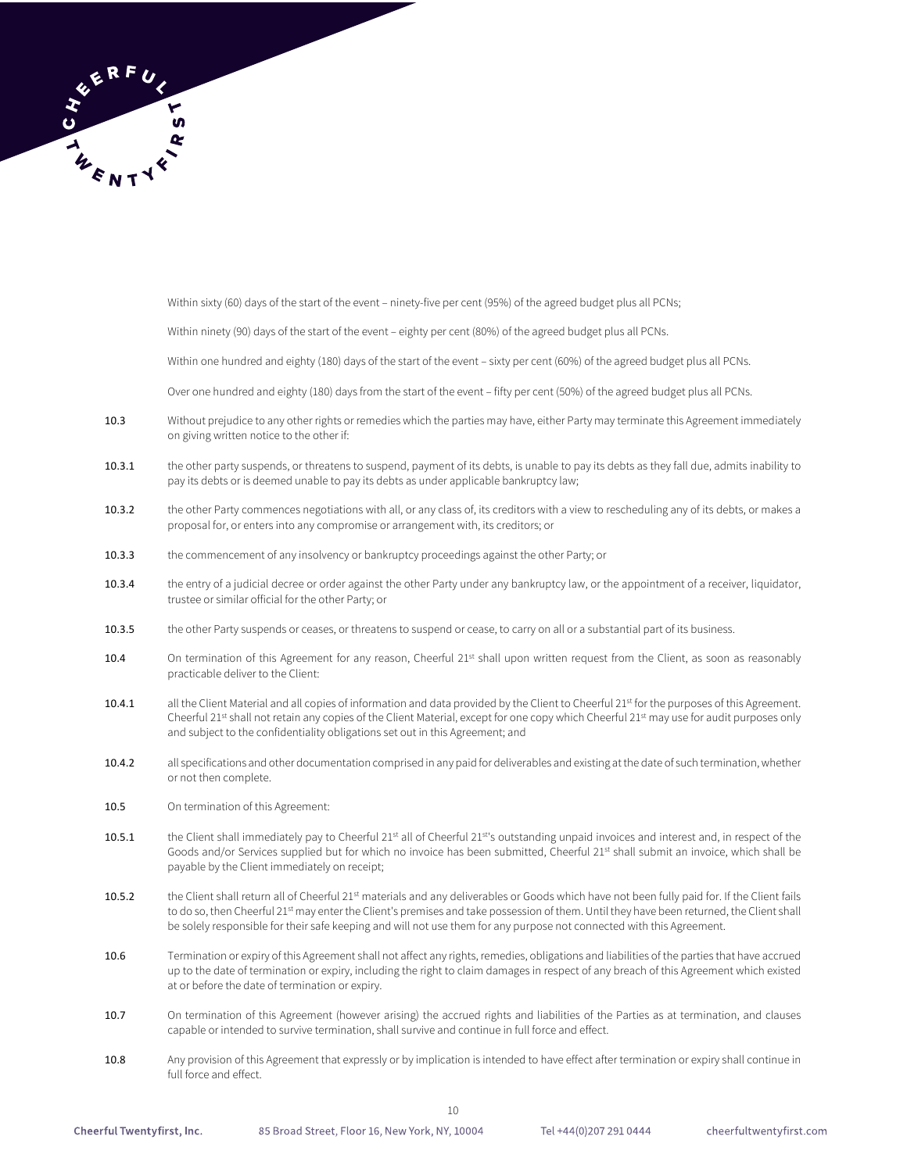

Within sixty (60) days of the start of the event – ninety-five per cent (95%) of the agreed budget plus all PCNs;

Within ninety (90) days of the start of the event – eighty per cent (80%) of the agreed budget plus all PCNs.

Within one hundred and eighty (180) days of the start of the event – sixty per cent (60%) of the agreed budget plus all PCNs.

Over one hundred and eighty (180) days from the start of the event – fifty per cent (50%) of the agreed budget plus all PCNs.

- 10.3 Without prejudice to any other rights or remedies which the parties may have, either Party may terminate this Agreement immediately on giving written notice to the other if:
- 10.3.1 the other party suspends, or threatens to suspend, payment of its debts, is unable to pay its debts as they fall due, admits inability to pay its debts or is deemed unable to pay its debts as under applicable bankruptcy law;
- 10.3.2 the other Party commences negotiations with all, or any class of, its creditors with a view to rescheduling any of its debts, or makes a proposal for, or enters into any compromise or arrangement with, its creditors; or
- 10.3.3 the commencement of any insolvency or bankruptcy proceedings against the other Party; or
- 10.3.4 the entry of a judicial decree or order against the other Party under any bankruptcy law, or the appointment of a receiver, liquidator, trustee or similar official for the other Party; or
- 10.3.5 the other Party suspends or ceases, or threatens to suspend or cease, to carry on all or a substantial part of its business.
- 10.4 On termination of this Agreement for any reason, Cheerful 21st shall upon written request from the Client, as soon as reasonably practicable deliver to the Client:
- 10.4.1 all the Client Material and all copies of information and data provided by the Client to Cheerful 21<sup>st</sup> for the purposes of this Agreement. Cheerful 21<sup>st</sup> shall not retain any copies of the Client Material, except for one copy which Cheerful 21<sup>st</sup> may use for audit purposes only and subject to the confidentiality obligations set out in this Agreement; and
- 10.4.2 all specifications and other documentation comprised in any paid for deliverables and existing at the date of such termination, whether or not then complete.
- 10.5 On termination of this Agreement:
- 10.5.1 the Client shall immediately pay to Cheerful 21<sup>st</sup> all of Cheerful 21<sup>st</sup>'s outstanding unpaid invoices and interest and, in respect of the Goods and/or Services supplied but for which no invoice has been submitted, Cheerful 21<sup>st</sup> shall submit an invoice, which shall be payable by the Client immediately on receipt;
- 10.5.2 the Client shall return all of Cheerful 21st materials and any deliverables or Goods which have not been fully paid for. If the Client fails to do so, then Cheerful 21<sup>st</sup> may enter the Client's premises and take possession of them. Until they have been returned, the Client shall be solely responsible for their safe keeping and will not use them for any purpose not connected with this Agreement.
- 10.6 Termination or expiry of this Agreement shall not affect any rights, remedies, obligations and liabilities of the parties that have accrued up to the date of termination or expiry, including the right to claim damages in respect of any breach of this Agreement which existed at or before the date of termination or expiry.
- 10.7 On termination of this Agreement (however arising) the accrued rights and liabilities of the Parties as at termination, and clauses capable or intended to survive termination, shall survive and continue in full force and effect.
- 10.8 Any provision of this Agreement that expressly or by implication is intended to have effect after termination or expiry shall continue in full force and effect.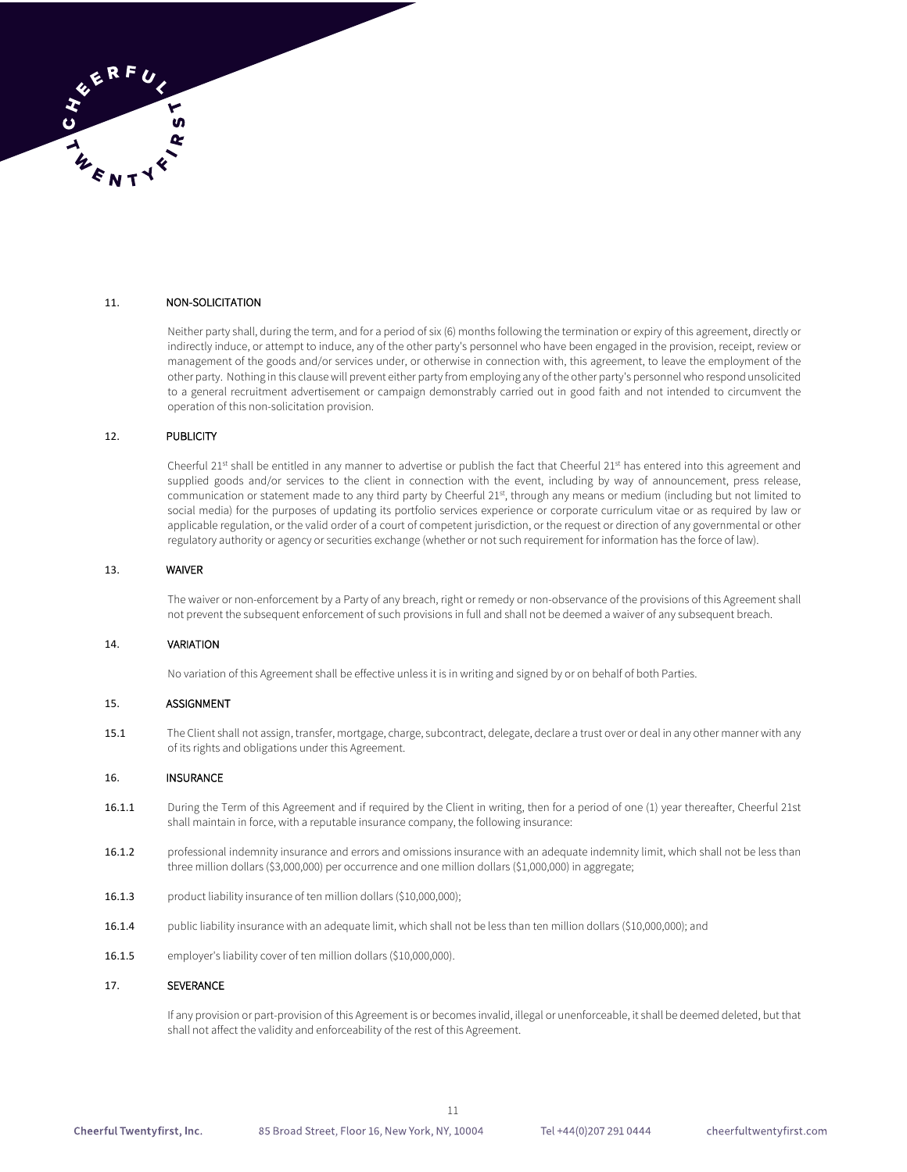

### 11. NON-SOLICITATION

Neither party shall, during the term, and for a period of six (6) months following the termination or expiry of this agreement, directly or indirectly induce, or attempt to induce, any of the other party's personnel who have been engaged in the provision, receipt, review or management of the goods and/or services under, or otherwise in connection with, this agreement, to leave the employment of the other party. Nothing in this clause will prevent either party from employing any of the other party's personnel who respond unsolicited to a general recruitment advertisement or campaign demonstrably carried out in good faith and not intended to circumvent the operation of this non-solicitation provision.

### 12. PUBLICITY

Cheerful 21<sup>st</sup> shall be entitled in any manner to advertise or publish the fact that Cheerful 21st has entered into this agreement and supplied goods and/or services to the client in connection with the event, including by way of announcement, press release, communication or statement made to any third party by Cheerful 21st, through any means or medium (including but not limited to social media) for the purposes of updating its portfolio services experience or corporate curriculum vitae or as required by law or applicable regulation, or the valid order of a court of competent jurisdiction, or the request or direction of any governmental or other regulatory authority or agency or securities exchange (whether or not such requirement for information has the force of law).

### 13. WAIVER

The waiver or non-enforcement by a Party of any breach, right or remedy or non-observance of the provisions of this Agreement shall not prevent the subsequent enforcement of such provisions in full and shall not be deemed a waiver of any subsequent breach.

### 14. VARIATION

No variation of this Agreement shall be effective unless it is in writing and signed by or on behalf of both Parties.

### 15. ASSIGNMENT

15.1 The Client shall not assign, transfer, mortgage, charge, subcontract, delegate, declare a trust over or deal in any other manner with any of its rights and obligations under this Agreement.

#### 16. INSURANCE

- 16.1.1 During the Term of this Agreement and if required by the Client in writing, then for a period of one (1) year thereafter, Cheerful 21st shall maintain in force, with a reputable insurance company, the following insurance:
- 16.1.2 professional indemnity insurance and errors and omissions insurance with an adequate indemnity limit, which shall not be less than three million dollars (\$3,000,000) per occurrence and one million dollars (\$1,000,000) in aggregate;
- 16.1.3 product liability insurance of ten million dollars (\$10,000,000);
- 16.1.4 public liability insurance with an adequate limit, which shall not be less than ten million dollars (\$10,000,000); and
- 16.1.5 employer's liability cover of ten million dollars (\$10,000,000).

### 17. SEVERANCE

If any provision or part-provision of this Agreement is or becomes invalid, illegal or unenforceable, it shall be deemed deleted, but that shall not affect the validity and enforceability of the rest of this Agreement.

11